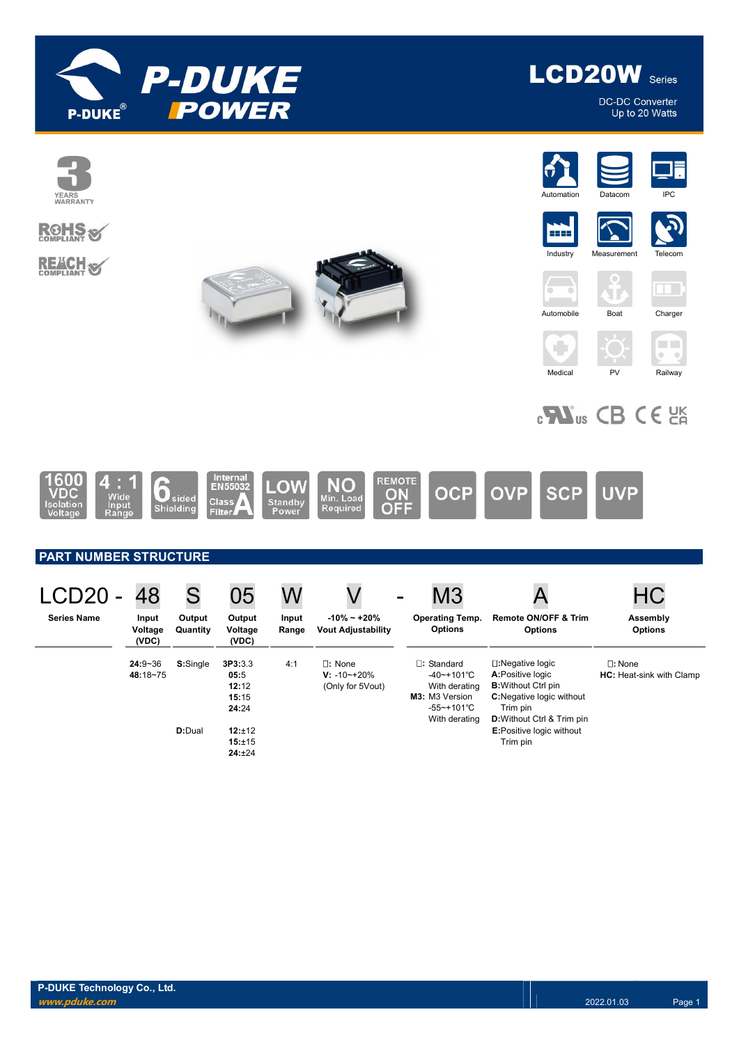

**LCD20W** Series

**DC-DC Converter** Up to 20 Watts

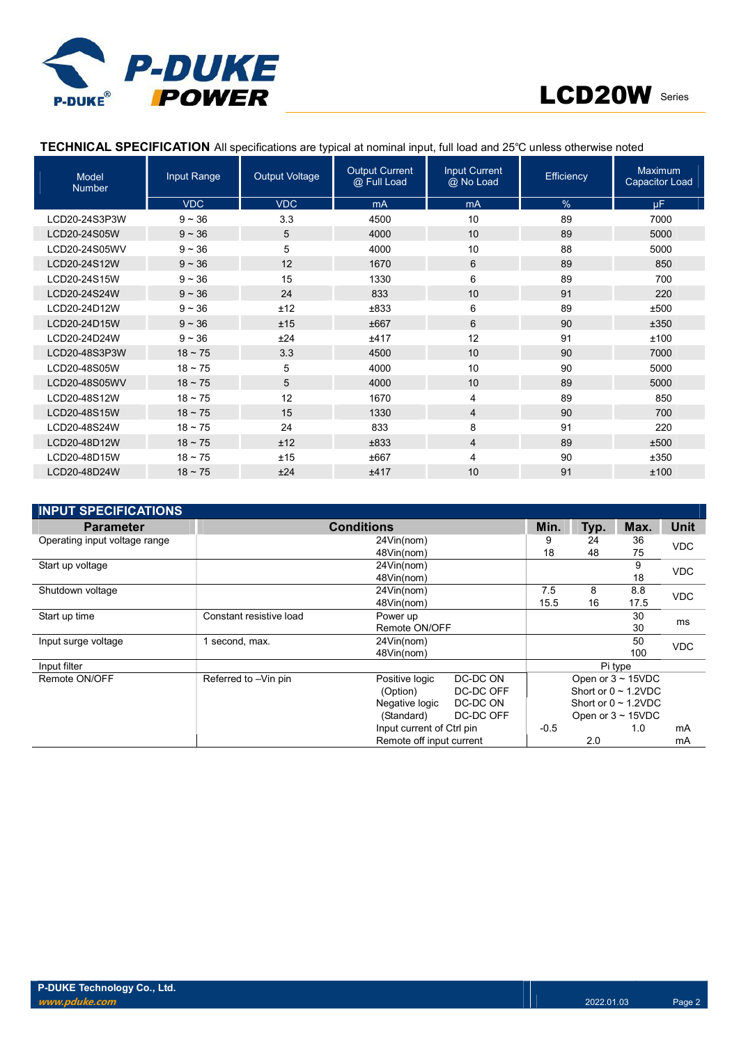



# TECHNICAL SPECIFICATION All specifications are typical at nominal input, full load and 25℃ unless otherwise noted

| <b>Model</b><br><b>Number</b> | Input Range  | <b>Output Voltage</b> | <b>Output Current</b><br>@ Full Load | <b>Input Current</b><br>@ No Load | <b>Efficiency</b> | <b>Maximum</b><br><b>Capacitor Load</b> |
|-------------------------------|--------------|-----------------------|--------------------------------------|-----------------------------------|-------------------|-----------------------------------------|
|                               | <b>VDC</b>   | <b>VDC</b>            | mA                                   | mA                                | $\%$              | <b>uF</b>                               |
| LCD20-24S3P3W                 | $9 - 36$     | 3.3                   | 4500                                 | 10                                | 89                | 7000                                    |
| LCD20-24S05W                  | $9 - 36$     | 5                     | 4000                                 | 10                                | 89                | 5000                                    |
| LCD20-24S05WV                 | $9 - 36$     | 5                     | 4000                                 | 10                                | 88                | 5000                                    |
| LCD20-24S12W                  | $9 - 36$     | 12                    | 1670                                 | 6                                 | 89                | 850                                     |
| LCD20-24S15W                  | $9 - 36$     | 15                    | 1330                                 | 6                                 | 89                | 700                                     |
| LCD20-24S24W                  | $9 - 36$     | 24                    | 833                                  | 10                                | 91                | 220                                     |
| LCD20-24D12W                  | $9 - 36$     | ±12                   | ±833                                 | 6                                 | 89                | ±500                                    |
| LCD20-24D15W                  | $9 - 36$     | ±15                   | ±667                                 | 6                                 | 90                | ±350                                    |
| LCD20-24D24W                  | $9 - 36$     | ±24                   | ±417                                 | 12                                | 91                | ±100                                    |
| LCD20-48S3P3W                 | $18 \sim 75$ | 3.3                   | 4500                                 | 10                                | 90                | 7000                                    |
| LCD20-48S05W                  | $18 - 75$    | 5                     | 4000                                 | 10                                | 90                | 5000                                    |
| LCD20-48S05WV                 | $18 \sim 75$ | 5                     | 4000                                 | 10                                | 89                | 5000                                    |
| LCD20-48S12W                  | $18 - 75$    | 12                    | 1670                                 | 4                                 | 89                | 850                                     |
| LCD20-48S15W                  | $18 \sim 75$ | 15                    | 1330                                 | 4                                 | 90                | 700                                     |
| LCD20-48S24W                  | $18 - 75$    | 24                    | 833                                  | 8                                 | 91                | 220                                     |
| LCD20-48D12W                  | $18 \sim 75$ | ±12                   | ±833                                 | 4                                 | 89                | ±500                                    |
| LCD20-48D15W                  | $18 - 75$    | ±15                   | ±667                                 | 4                                 | 90                | ±350                                    |
| LCD20-48D24W                  | $18 \sim 75$ | ±24                   | ±417                                 | 10                                | 91                | ±100                                    |

| <b>INPUT SPECIFICATIONS</b>   |                         |                           |                          |        |      |                           |             |
|-------------------------------|-------------------------|---------------------------|--------------------------|--------|------|---------------------------|-------------|
| <b>Parameter</b>              |                         | <b>Conditions</b>         |                          | Min.   | Typ. | Max.                      | <b>Unit</b> |
| Operating input voltage range |                         | 24Vin(nom)                |                          | 9      | 24   | 36                        | <b>VDC</b>  |
|                               |                         | 48Vin(nom)                |                          | 18     | 48   | 75                        |             |
| Start up voltage              |                         | 24Vin(nom)                |                          |        |      | 9                         | <b>VDC</b>  |
|                               |                         | 48Vin(nom)                |                          |        |      | 18                        |             |
| Shutdown voltage              |                         | 24Vin(nom)                |                          | 7.5    | 8    | 8.8                       | <b>VDC</b>  |
|                               |                         | 48Vin(nom)                |                          | 15.5   | 16   | 17.5                      |             |
| Start up time                 | Constant resistive load | Power up                  |                          |        |      | 30                        | ms          |
|                               |                         |                           | Remote ON/OFF            |        |      | 30                        |             |
| Input surge voltage           | second, max.            | 24Vin(nom)                |                          |        |      | 50                        | <b>VDC</b>  |
|                               |                         | 48Vin(nom)                |                          |        |      | 100                       |             |
| Input filter                  |                         |                           |                          |        |      | Pi type                   |             |
| Remote ON/OFF                 | Referred to -Vin pin    | Positive logic            | DC-DC ON                 |        |      | Open or $3 \sim 15$ VDC   |             |
|                               |                         | (Option)                  | DC-DC OFF                |        |      | Short or $0 \sim 1.2$ VDC |             |
|                               |                         | Negative logic            | DC-DC ON                 |        |      | Short or $0 \sim 1.2$ VDC |             |
|                               |                         | (Standard)                | DC-DC OFF                |        |      | Open or $3 \sim 15$ VDC   |             |
|                               |                         | Input current of Ctrl pin |                          | $-0.5$ |      | 1.0                       | mA          |
|                               |                         |                           | Remote off input current |        |      |                           | mA          |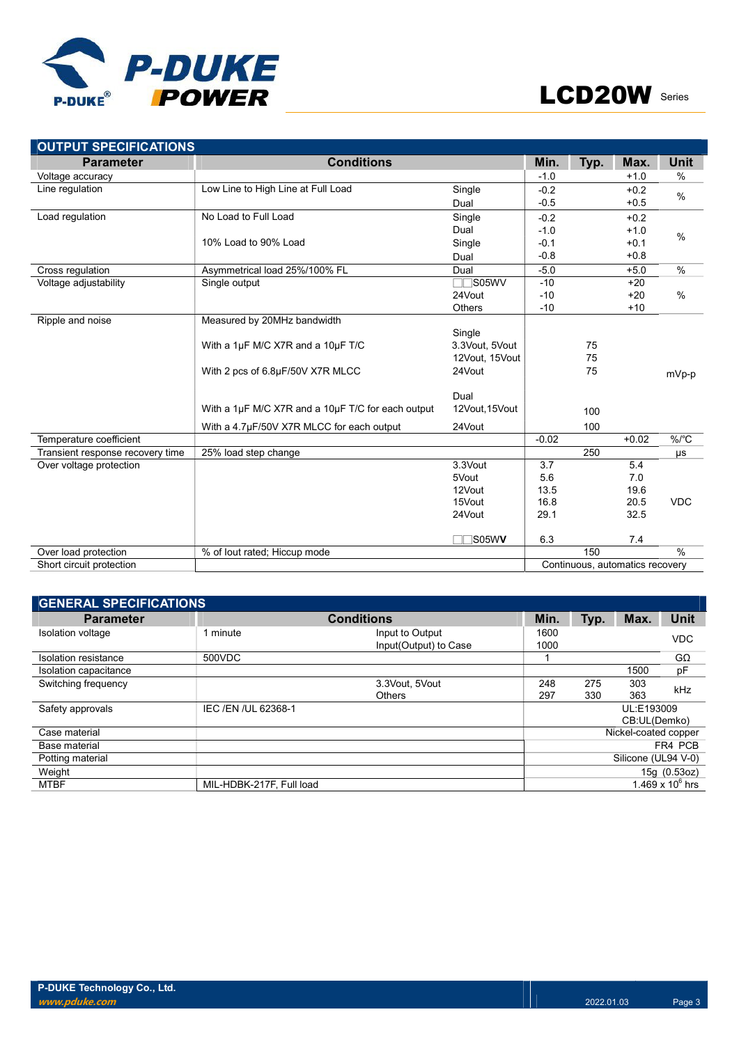

| <b>OUTPUT SPECIFICATIONS</b>     |                                                   |                |         |      |                                 |               |
|----------------------------------|---------------------------------------------------|----------------|---------|------|---------------------------------|---------------|
| <b>Parameter</b>                 | <b>Conditions</b>                                 |                | Min.    | Typ. | Max.                            | <b>Unit</b>   |
| Voltage accuracy                 |                                                   |                | $-1.0$  |      | $+1.0$                          | %             |
| Line regulation                  | Low Line to High Line at Full Load                | Single         | $-0.2$  |      | $+0.2$                          | $\frac{0}{0}$ |
|                                  |                                                   | Dual           | $-0.5$  |      | $+0.5$                          |               |
| Load regulation                  | No Load to Full Load                              | Single         | $-0.2$  |      | $+0.2$                          |               |
|                                  |                                                   | Dual           | $-1.0$  |      | $+1.0$                          | $\%$          |
|                                  | 10% Load to 90% Load                              | Single         | $-0.1$  |      | $+0.1$                          |               |
|                                  |                                                   | Dual           | $-0.8$  |      | $+0.8$                          |               |
| Cross regulation                 | Asymmetrical load 25%/100% FL                     | Dual           | $-5.0$  |      | $+5.0$                          | %             |
| Voltage adjustability            | Single output                                     | $\Box$ S05WV   | $-10$   |      | $+20$                           |               |
|                                  |                                                   | 24Vout         | $-10$   |      | $+20$                           | %             |
|                                  |                                                   | <b>Others</b>  | $-10$   |      | $+10$                           |               |
| Ripple and noise                 | Measured by 20MHz bandwidth                       |                |         |      |                                 |               |
|                                  |                                                   | Single         |         |      |                                 |               |
|                                  | With a 1µF M/C X7R and a 10µF T/C                 | 3.3Vout, 5Vout |         | 75   |                                 |               |
|                                  |                                                   | 12Vout, 15Vout |         | 75   |                                 |               |
|                                  | With 2 pcs of 6.8µF/50V X7R MLCC                  | 24Vout         |         | 75   |                                 | mVp-p         |
|                                  |                                                   | Dual           |         |      |                                 |               |
|                                  | With a 1µF M/C X7R and a 10µF T/C for each output | 12Vout, 15Vout |         | 100  |                                 |               |
|                                  | With a 4.7µF/50V X7R MLCC for each output         | 24Vout         |         | 100  |                                 |               |
| Temperature coefficient          |                                                   |                | $-0.02$ |      | $+0.02$                         | $\%$ /°C      |
| Transient response recovery time | 25% load step change                              |                |         | 250  |                                 | μs            |
| Over voltage protection          |                                                   | 3.3Vout        | 3.7     |      | 5.4                             |               |
|                                  |                                                   | 5Vout          | 5.6     |      | 7.0                             |               |
|                                  |                                                   | 12Vout         | 13.5    |      | 19.6                            |               |
|                                  |                                                   | 15Vout         | 16.8    |      | 20.5                            | <b>VDC</b>    |
|                                  |                                                   | 24Vout         | 29.1    |      | 32.5                            |               |
|                                  |                                                   | S05WV          | 6.3     |      | 7.4                             |               |
| Over load protection             | % of lout rated; Hiccup mode                      |                |         | 150  |                                 | $\frac{0}{0}$ |
| Short circuit protection         |                                                   |                |         |      | Continuous, automatics recovery |               |

| <b>GENERAL SPECIFICATIONS</b> |                          |                       |      |      |                      |                    |
|-------------------------------|--------------------------|-----------------------|------|------|----------------------|--------------------|
| <b>Parameter</b>              |                          | <b>Conditions</b>     | Min. | Typ. | Max.                 | <b>Unit</b>        |
| Isolation voltage             | 1 minute                 | Input to Output       | 1600 |      |                      | <b>VDC</b>         |
|                               |                          | Input(Output) to Case | 1000 |      |                      |                    |
| Isolation resistance          | 500VDC                   |                       |      |      |                      | GΩ                 |
| Isolation capacitance         |                          |                       |      |      | 1500                 | pF                 |
| Switching frequency           |                          | 3.3Vout. 5Vout        | 248  | 275  | 303                  | kHz                |
|                               |                          | <b>Others</b>         | 297  | 330  | 363                  |                    |
| Safety approvals              | IEC /EN /UL 62368-1      |                       |      |      | UL:E193009           |                    |
|                               |                          |                       |      |      | CB:UL(Demko)         |                    |
| Case material                 |                          |                       |      |      | Nickel-coated copper |                    |
| Base material                 |                          |                       |      |      |                      | FR4 PCB            |
| Potting material              |                          |                       |      |      | Silicone (UL94 V-0)  |                    |
| Weight                        |                          |                       |      |      |                      | 15g (0.53oz)       |
| <b>MTBF</b>                   | MIL-HDBK-217F, Full load |                       |      |      |                      | 1.469 x $10^6$ hrs |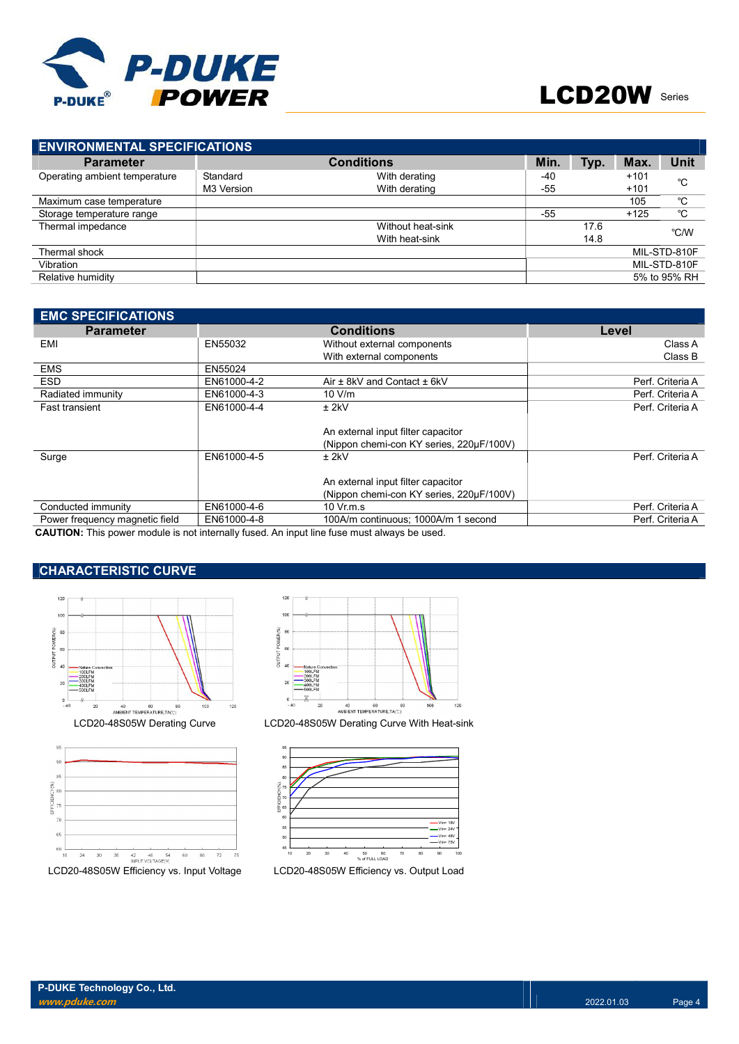

| <b>ENVIRONMENTAL SPECIFICATIONS</b> |            |                   |       |      |        |              |
|-------------------------------------|------------|-------------------|-------|------|--------|--------------|
| <b>Parameter</b>                    |            | <b>Conditions</b> | Min.  | Typ. | Max.   | Unit         |
| Operating ambient temperature       | Standard   | With derating     | $-40$ |      | $+101$ | °C           |
|                                     | M3 Version | With derating     | $-55$ |      | $+101$ |              |
| Maximum case temperature            |            |                   |       |      | 105    | °C           |
| Storage temperature range           |            |                   | $-55$ |      | $+125$ | °C           |
| Thermal impedance                   |            | Without heat-sink |       | 17.6 |        | °C/W         |
|                                     |            | With heat-sink    |       | 14.8 |        |              |
| Thermal shock                       |            |                   |       |      |        | MIL-STD-810F |
| Vibration                           |            |                   |       |      |        | MIL-STD-810F |
| Relative humidity                   |            |                   |       |      |        | 5% to 95% RH |
|                                     |            |                   |       |      |        |              |

| <b>EMC SPECIFICATIONS</b>      |             |                                          |                  |
|--------------------------------|-------------|------------------------------------------|------------------|
| <b>Parameter</b>               |             | <b>Conditions</b>                        | Level            |
| EMI                            | EN55032     | Without external components              | Class A          |
|                                |             | With external components                 | Class B          |
| <b>EMS</b>                     | EN55024     |                                          |                  |
| <b>ESD</b>                     | EN61000-4-2 | Air ± 8kV and Contact ± 6kV              | Perf. Criteria A |
| Radiated immunity              | EN61000-4-3 | 10 V/m                                   | Perf. Criteria A |
| <b>Fast transient</b>          | EN61000-4-4 | $±$ 2kV                                  | Perf. Criteria A |
|                                |             |                                          |                  |
|                                |             | An external input filter capacitor       |                  |
|                                |             | (Nippon chemi-con KY series, 220µF/100V) |                  |
| Surge                          | EN61000-4-5 | $±$ 2kV                                  | Perf. Criteria A |
|                                |             |                                          |                  |
|                                |             | An external input filter capacitor       |                  |
|                                |             | (Nippon chemi-con KY series, 220µF/100V) |                  |
| Conducted immunity             | EN61000-4-6 | $10 \,$ Vr.m.s                           | Perf. Criteria A |
| Power frequency magnetic field | EN61000-4-8 | 100A/m continuous: 1000A/m 1 second      | Perf. Criteria A |

CAUTION: This power module is not internally fused. An input line fuse must always be used.

# CHARACTERISTIC CURVE







LCD20-48S05W Derating Curve LCD20-48S05W Derating Curve With Heat-sink

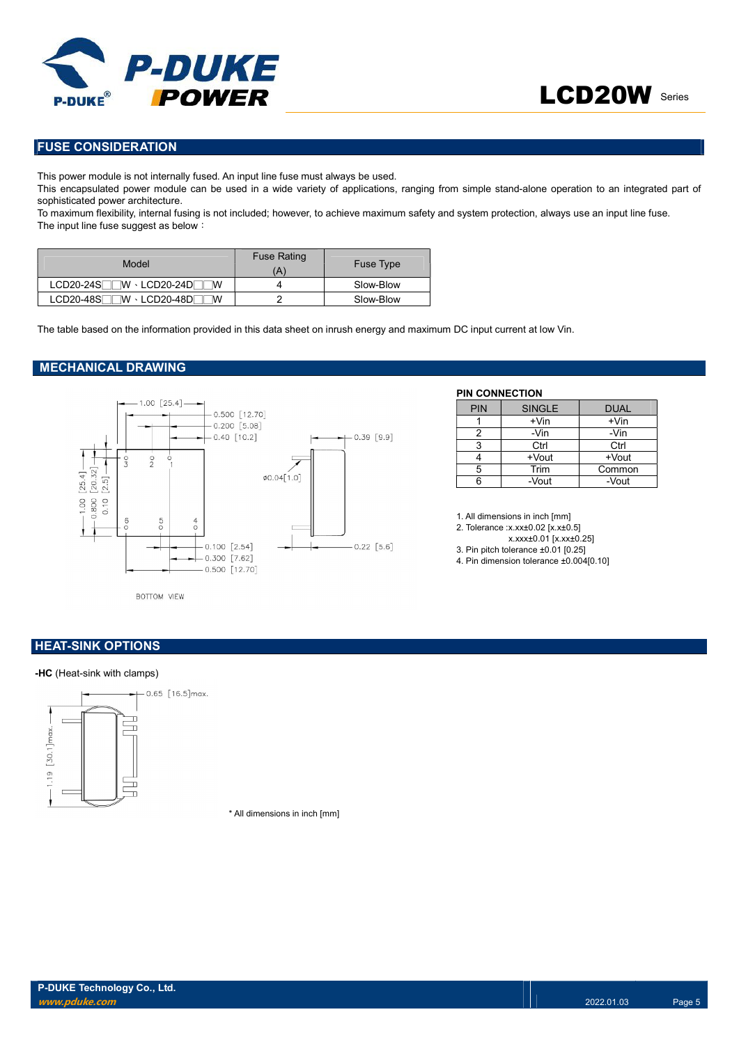

# FUSE CONSIDERATION

This power module is not internally fused. An input line fuse must always be used.

This encapsulated power module can be used in a wide variety of applications, ranging from simple stand-alone operation to an integrated part of sophisticated power architecture.

To maximum flexibility, internal fusing is not included; however, to achieve maximum safety and system protection, always use an input line fuse. The input line fuse suggest as below:

| Model                                 | <b>Fuse Rating</b><br>Ά | <b>Fuse Type</b> |
|---------------------------------------|-------------------------|------------------|
| $LCD20-24S$ $W \cdot LCD20-24D$<br>ΙW |                         | Slow-Blow        |
| $LCD20-48S$<br>⊺W ⋅ LCD20-48D୮<br>W   |                         | Slow-Blow        |

The table based on the information provided in this data sheet on inrush energy and maximum DC input current at low Vin.

### MECHANICAL DRAWING



### PIN CONNECTION

| <b>PIN</b> | <b>SINGLE</b> | <b>DUAL</b> |
|------------|---------------|-------------|
|            | $+V$ in       | $+V$ in     |
|            | -Vin          | -Vin        |
| 3          | Ctrl          | Ctrl        |
|            | +Vout         | +Vout       |
| 5          | Trim          | Common      |
| ีค         | -Vout         | -Vout       |

1. All dimensions in inch [mm]

2. Tolerance :x.xx±0.02 [x.x±0.5]

x.xxx±0.01 [x.xx±0.25]

3. Pin pitch tolerance ±0.01 [0.25]

4. Pin dimension tolerance ±0.004[0.10]

# **HEAT-SINK OPTIONS**

### -HC (Heat-sink with clamps)



\* All dimensions in inch [mm]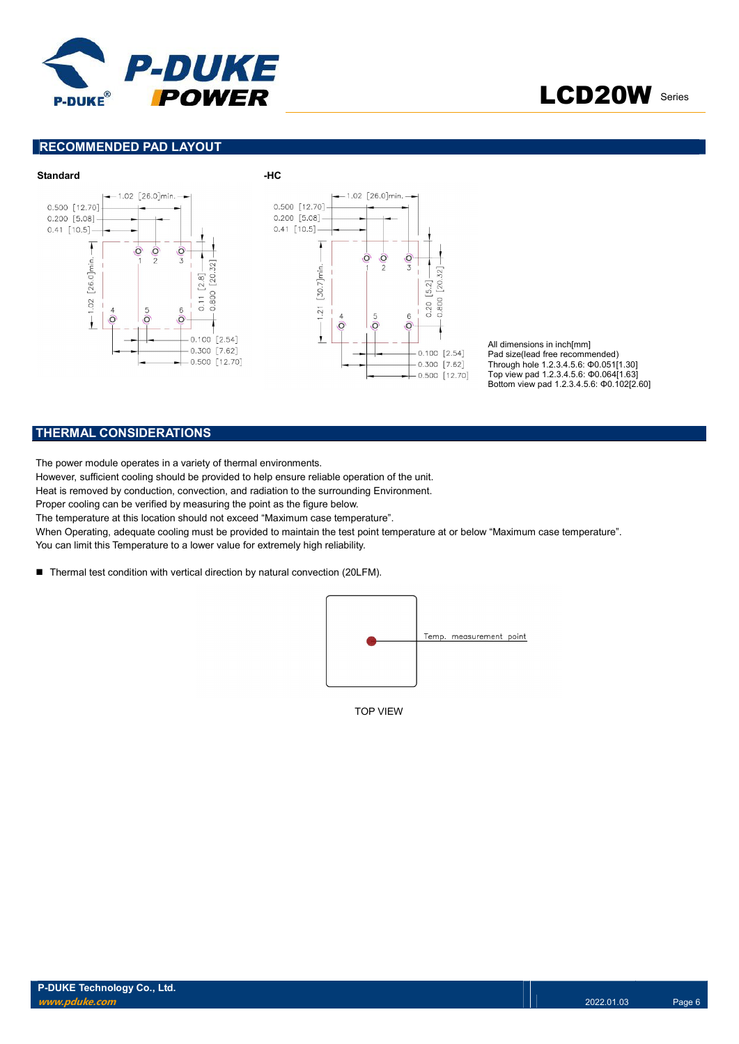

LCD20W Series

## RECOMMENDED PAD LAYOUT



All dimensions in inch[mm] Pad size(lead free recommended) Through hole 1.2.3.4.5.6: Φ0.051[1.30] Top view pad 1.2.3.4.5.6: Φ0.064[1.63] Bottom view pad 1.2.3.4.5.6: Φ0.102[2.60]

### THERMAL CONSIDERATIONS

The power module operates in a variety of thermal environments.

However, sufficient cooling should be provided to help ensure reliable operation of the unit.

Heat is removed by conduction, convection, and radiation to the surrounding Environment.

Proper cooling can be verified by measuring the point as the figure below.

The temperature at this location should not exceed "Maximum case temperature".

When Operating, adequate cooling must be provided to maintain the test point temperature at or below "Maximum case temperature". You can limit this Temperature to a lower value for extremely high reliability.

■ Thermal test condition with vertical direction by natural convection (20LFM).



TOP VIEW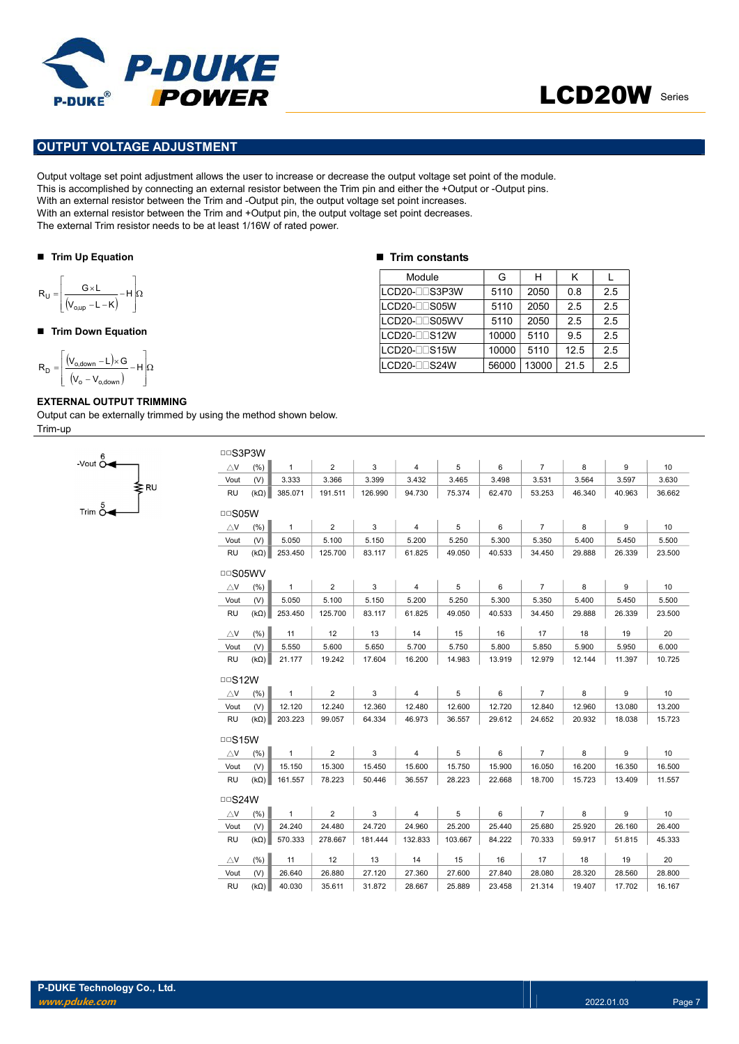

# LCD20W Series

# OUTPUT VOLTAGE ADJUSTMENT

Output voltage set point adjustment allows the user to increase or decrease the output voltage set point of the module. This is accomplished by connecting an external resistor between the Trim pin and either the +Output or -Output pins. With an external resistor between the Trim and -Output pin, the output voltage set point increases. With an external resistor between the Trim and +Output pin, the output voltage set point decreases. The external Trim resistor needs to be at least 1/16W of rated power. **PUTYOLTAGE ADJUSTMENT**<br>
PUTYOLTAGE ADJUSTMENT<br>
Voltage set point adjustment allows the user to increase or decrease the output voltage set point of the<br>
accomplished by connecting an external resistor between the Trim pi POWER<br>
PUT VOLTAGE ADJUSTMENT<br>
PUT VOLTAGE ADJUSTMENT<br>
accomplished by connecting an external resistor between the Tim plin and eliber the 10th of Output of Output<br>
accomplished by connecting an external resistor between **POWER**<br>
UIT VOLTAGE ADJUSTMENT<br>
Voltage set point adjustment allows the user to increase or decrease the output voltage set point of the m<br>
accomplished by connecting an external resistor between the Trim and -Output pin

#### ■ Trim Up Equation

$$
R_{U} = \left\lfloor \frac{G \times L}{(V_{o,up} - L - K)} - H \right\rfloor \Omega
$$

### ■ Trim Down Equation

$$
R_D=\!\left[\!\!\begin{array}{c} \displaystyle \left(\!V_{o,\textrm{down}}\!-\!L\!\right)\!\!\times\! G\\ \displaystyle \left(\!V_o-V_{o,\textrm{down}}\!\right)\end{array}\!\!\!\!\!-\!H\!\right]\!\!\Omega
$$

-Vout  $\overset{\circ}{\mathsf{O}}$ 

Trim  $\stackrel{5}{\sim}$ 

### EXTERNAL OUTPUT TRIMMING

≱R∪

Output can be externally trimmed by using the method shown below. Trim-up

#### $\blacksquare$  Trim constants

| Module                  | G     | н     | κ    |     |
|-------------------------|-------|-------|------|-----|
| ILCD20-⊟⊟S3P3W          | 5110  | 2050  | 0.8  | 2.5 |
| LCD20-ODS05W            | 5110  | 2050  | 2.5  | 2.5 |
| LCD20-ODS05WV           | 5110  | 2050  | 2.5  | 2.5 |
| LCD20-DDS12W            | 10000 | 5110  | 9.5  | 2.5 |
| lLCD20-⊟⊟S15W           | 10000 | 5110  | 12.5 | 2.5 |
| LCD20- <sub>US24W</sub> | 56000 | 13000 | 21.5 | 2.5 |

| <b>DDS3P3W</b> |             |              |                |         |                |         |        |                |        |        |        |
|----------------|-------------|--------------|----------------|---------|----------------|---------|--------|----------------|--------|--------|--------|
| $\triangle$ V  | (%)         | $\mathbf{1}$ | $\overline{2}$ | 3       | $\overline{4}$ | 5       | 6      | $\overline{7}$ | 8      | 9      | 10     |
| Vout           | (V)         | 3.333        | 3.366          | 3.399   | 3.432          | 3.465   | 3.498  | 3.531          | 3.564  | 3.597  | 3.630  |
| <b>RU</b>      | $(k\Omega)$ | 385.071      | 191.511        | 126.990 | 94.730         | 75.374  | 62.470 | 53.253         | 46.340 | 40.963 | 36.662 |
| $\Box$ S05W    |             |              |                |         |                |         |        |                |        |        |        |
| $\triangle$ V  | (% )        | $\mathbf{1}$ | $\overline{2}$ | 3       | 4              | 5       | 6      | $\overline{7}$ | 8      | 9      | 10     |
| Vout           | (V)         | 5.050        | 5.100          | 5.150   | 5.200          | 5.250   | 5.300  | 5.350          | 5.400  | 5.450  | 5.500  |
| <b>RU</b>      | $(k\Omega)$ | 253.450      | 125.700        | 83.117  | 61.825         | 49.050  | 40.533 | 34.450         | 29.888 | 26.339 | 23.500 |
| <b>DDS05WV</b> |             |              |                |         |                |         |        |                |        |        |        |
| $\triangle$ V  | (%)         | $\mathbf{1}$ | $\overline{2}$ | 3       | $\overline{4}$ | 5       | 6      | $\overline{7}$ | 8      | 9      | 10     |
| Vout           | (V)         | 5.050        | 5.100          | 5.150   | 5.200          | 5.250   | 5.300  | 5.350          | 5.400  | 5.450  | 5.500  |
| <b>RU</b>      | $(k\Omega)$ | 253.450      | 125.700        | 83.117  | 61.825         | 49.050  | 40.533 | 34.450         | 29.888 | 26.339 | 23.500 |
| $\triangle$ V  | (% )        | 11           | 12             | 13      | 14             | 15      | 16     | 17             | 18     | 19     | 20     |
| Vout           | (V)         | 5.550        | 5.600          | 5.650   | 5.700          | 5.750   | 5.800  | 5.850          | 5.900  | 5.950  | 6.000  |
| <b>RU</b>      | $(k\Omega)$ | 21.177       | 19.242         | 17.604  | 16.200         | 14.983  | 13.919 | 12.979         | 12.144 | 11.397 | 10.725 |
| $\Box$ S12W    |             |              |                |         |                |         |        |                |        |        |        |
| $\triangle$ V  | (% )        | $\mathbf{1}$ | $\overline{2}$ | 3       | $\overline{4}$ | 5       | 6      | $\overline{7}$ | 8      | 9      | 10     |
| Vout           | (V)         | 12.120       | 12.240         | 12.360  | 12.480         | 12.600  | 12.720 | 12.840         | 12.960 | 13.080 | 13.200 |
| <b>RU</b>      | $(k\Omega)$ | 203.223      | 99.057         | 64.334  | 46.973         | 36.557  | 29.612 | 24.652         | 20.932 | 18.038 | 15.723 |
| $\Box$ S15W    |             |              |                |         |                |         |        |                |        |        |        |
| $\triangle$ V  | (% )        | $\mathbf{1}$ | $\overline{2}$ | 3       | $\overline{4}$ | 5       | 6      | $\overline{7}$ | 8      | 9      | 10     |
| Vout           | (V)         | 15.150       | 15.300         | 15.450  | 15.600         | 15.750  | 15.900 | 16.050         | 16.200 | 16.350 | 16.500 |
| RU             | $(k\Omega)$ | 161.557      | 78.223         | 50.446  | 36.557         | 28.223  | 22.668 | 18.700         | 15.723 | 13.409 | 11.557 |
| $\Box$ S24W    |             |              |                |         |                |         |        |                |        |        |        |
| $\triangle$ V  | (% )        | $\mathbf{1}$ | $\overline{2}$ | 3       | $\overline{4}$ | 5       | 6      | $\overline{7}$ | 8      | 9      | 10     |
| Vout           | (V)         | 24.240       | 24.480         | 24.720  | 24.960         | 25.200  | 25.440 | 25.680         | 25.920 | 26.160 | 26.400 |
| <b>RU</b>      | $(k\Omega)$ | 570.333      | 278.667        | 181.444 | 132.833        | 103.667 | 84.222 | 70.333         | 59.917 | 51.815 | 45.333 |
| $\triangle$ V  | (% )        | 11           | 12             | 13      | 14             | 15      | 16     | 17             | 18     | 19     | 20     |
| Vout           | (V)         | 26.640       | 26.880         | 27.120  | 27.360         | 27.600  | 27.840 | 28,080         | 28.320 | 28.560 | 28.800 |
| <b>RU</b>      | $(k\Omega)$ | 40.030       | 35.611         | 31.872  | 28.667         | 25.889  | 23.458 | 21.314         | 19.407 | 17.702 | 16.167 |